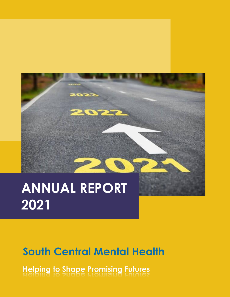

# **ANNUAL REPORT 2021**

## **South Central Mental Health**

**Helping to Shape Promising Futures**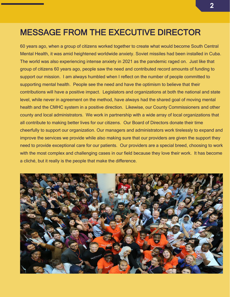### MESSAGE FROM THE EXECUTIVE DIRECTOR

60 years ago, when a group of citizens worked together to create what would become South Central Mental Health, it was amid heightened worldwide anxiety. Soviet missiles had been installed in Cuba. The world was also experiencing intense anxiety in 2021 as the pandemic raged on. Just like that group of citizens 60 years ago, people saw the need and contributed record amounts of funding to support our mission. I am always humbled when I reflect on the number of people committed to supporting mental health. People see the need and have the optimism to believe that their contributions will have a positive impact. Legislators and organizations at both the national and state level, while never in agreement on the method, have always had the shared goal of moving mental health and the CMHC system in a positive direction. Likewise, our County Commissioners and other county and local administrators. We work in partnership with a wide array of local organizations that all contribute to making better lives for our citizens. Our Board of Directors donate their time cheerfully to support our organization. Our managers and administrators work tirelessly to expand and improve the services we provide while also making sure that our providers are given the support they need to provide exceptional care for our patients. Our providers are a special breed, choosing to work with the most complex and challenging cases in our field because they love their work. It has become a cliché, but it really is the people that make the difference.

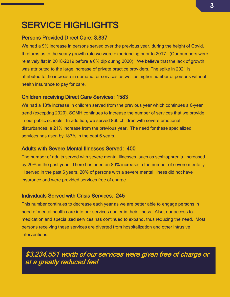### SERVICE HIGHLIGHTS

#### Persons Provided Direct Care: 3,837

We had a 9% increase in persons served over the previous year, during the height of Covid. It returns us to the yearly growth rate we were experiencing prior to 2017. (Our numbers were relatively flat in 2018-2019 before a 6% dip during 2020). We believe that the lack of growth was attributed to the large increase of private practice providers. The spike in 2021 is attributed to the increase in demand for services as well as higher number of persons without health insurance to pay for care.

#### Children receiving Direct Care Services: 1583

We had a 13% increase in children served from the previous year which continues a 6-year trend (excepting 2020). SCMH continues to increase the number of services that we provide in our public schools. In addition, we served 860 children with severe emotional disturbances, a 21% increase from the previous year. The need for these specialized services has risen by 187% in the past 6 years.

#### Adults with Severe Mental Illnesses Served: 400

The number of adults served with severe mental illnesses, such as schizophrenia, increased by 20% in the past year. There has been an 80% increase in the number of severe mentally ill served in the past 6 years. 20% of persons with a severe mental illness did not have insurance and were provided services free of charge.

#### Individuals Served with Crisis Services: 245

This number continues to decrease each year as we are better able to engage persons in need of mental health care into our services earlier in their illness. Also, our access to medication and specialized services has continued to expand, thus reducing the need. Most persons receiving these services are diverted from hospitalization and other intrusive interventions.

\$3,234,551 worth of our services were given free of charge or at a greatly reduced fee!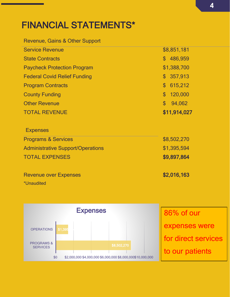### FINANCIAL STATEMENTS\*

#### Revenue, Gains & Other Support

| <b>Service Revenue</b>              | \$8,851,181              |
|-------------------------------------|--------------------------|
| <b>State Contracts</b>              | \$486,959                |
| <b>Paycheck Protection Program</b>  | \$1,388,700              |
| <b>Federal Covid Relief Funding</b> | \$357,913                |
| <b>Program Contracts</b>            | \$615,212                |
| <b>County Funding</b>               | \$120,000                |
| <b>Other Revenue</b>                | 94,062<br>$\mathbb{S}^-$ |
| <b>TOTAL REVENUE</b>                | \$11,914,027             |
|                                     |                          |

### **Expenses** Programs & Services  $$8,502,270$ Administrative Support/Operations  $$1,395,594$ TOTAL EXPENSES \$9,897,864

Revenue over Expenses **\$2,016,163** \*Unaudited

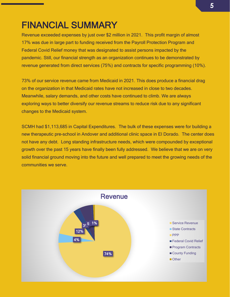### FINANCIAL SUMMARY

Revenue exceeded expenses by just over \$2 million in 2021. This profit margin of almost 17% was due in large part to funding received from the Payroll Protection Program and Federal Covid Relief money that was designated to assist persons impacted by the pandemic. Still, our financial strength as an organization continues to be demonstrated by revenue generated from direct services (75%) and contracts for specific programming (10%).

73% of our service revenue came from Medicaid in 2021. This does produce a financial drag on the organization in that Medicaid rates have not increased in close to two decades. Meanwhile, salary demands, and other costs have continued to climb. We are always exploring ways to better diversify our revenue streams to reduce risk due to any significant changes to the Medicaid system.

SCMH had \$1,113,685 in Capital Expenditures. The bulk of these expenses were for building a new therapeutic pre-school in Andover and additional clinic space in El Dorado. The center does not have any debt. Long standing infrastructure needs, which were compounded by exceptional growth over the past 15 years have finally been fully addressed. We believe that we are on very solid financial ground moving into the future and well prepared to meet the growing needs of the communities we serve.

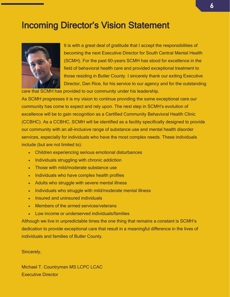### Incoming Director's Vision Statement



It is with a great deal of gratitude that I accept the responsibilities of becoming the next Executive Director for South Central Mental Health (SCMH). For the past 60-years SCMH has stood for excellence in the field of behavioral health care and provided exceptional treatment to those residing in Butler County. I sincerely thank our exiting Executive Director, Dan Rice, for his service to our agency and for the outstanding

care that SCMH has provided to our community under his leadership.

As SCMH progresses it is my vision to continue providing the same exceptional care our community has come to expect and rely upon. The next step in SCMH's evolution of excellence will be to gain recognition as a Certified Community Behavioral Health Clinic (CCBHC). As a CCBHC, SCMH will be identified as a facility specifically designed to provide our community with an all-inclusive range of substance use and mental health disorder services, especially for individuals who have the most complex needs. These individuals include (but are not limited to):

- Children experiencing serious emotional disturbances
- Individuals struggling with chronic addiction
- Those with mild/moderate substance use
- Individuals who have complex health profiles
- Adults who struggle with severe mental illness
- Individuals who struggle with mild/moderate mental illness
- Insured and uninsured individuals
- Members of the armed services/veterans
- Low income or underserved individuals/families

Although we live in unpredictable times the one thing that remains a constant is SCMH's dedication to provide exceptional care that result in a meaningful difference in the lives of individuals and families of Butler County.

Sincerely,

Michael T. Countryman MS LCPC LCAC Executive Director